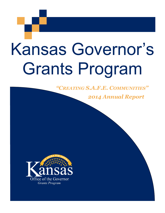# Kansas Governor's Grants Program

# *"CREATING S.A.F.E. COMMUNITIES"*

# *2014 Annual Report*

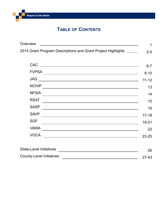# **TABLE OF CONTENTS**

| Overview                                                                                                                             | 1         |
|--------------------------------------------------------------------------------------------------------------------------------------|-----------|
| 2014 Grant Program Descriptions and Grant Project Highlights ______                                                                  | $2 - 5$   |
|                                                                                                                                      |           |
| <b>CAC</b><br><u> 1989 - Johann Barn, fransk politik formuler (d. 1989)</u>                                                          | $6 - 7$   |
| <b>FVPSA</b><br><u> 1980 - Johann Stoff, fransk politik (d. 1980)</u>                                                                | $8 - 10$  |
| <b>JAG</b><br><u> 1989 - Johann Barn, amerikansk politiker (d. 1989)</u>                                                             | $11 - 12$ |
| <b>NCHIP</b><br><u> 1989 - Johann Stein, marwolaethau a bhann an t-Amhair ann an t-Amhair an t-Amhair an t-Amhair an t-Amhair an</u> | 13        |
| <b>NFSIA</b><br><u> 1989 - Johann Barbara, marka a shekara tsa 1989 - An tsa 1989 - An tsa 1989 - An tsa 1989 - An tsa 1989 - An</u> | 14        |
| <b>RSAT</b>                                                                                                                          | 15        |
| <b>SASP</b><br><u> 1989 - Andrea Barbara, amerikan personal dan personal dan personal dan personal dan personal dan personal da</u>  | 16        |
| <b>SAVP</b><br><u> 1989 - Johann Stoff, amerikansk politiker (* 1908)</u>                                                            | $17 - 18$ |
| <b>SGF</b><br><u> 1989 - Johann Stoff, deutscher Stoffen und der Stoffen und der Stoffen und der Stoffen und der Stoffen und de</u>  | 19-21     |
| <b>VAWA</b><br><u> 1980 - Johann Barn, mars ann an t-Amhain Aonaich an t-Aonaich an t-Aonaich ann an t-Aonaich ann an t-Aonaich</u>  | 22        |
| <b>VOCA</b>                                                                                                                          | $23 - 25$ |
|                                                                                                                                      |           |
| <b>State-Level Initiatives</b>                                                                                                       | 26        |
| <b>County-Level Initiatives</b>                                                                                                      | $27-43$   |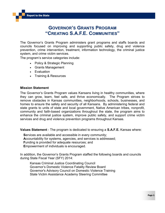# **GOVERNOR'S GRANTS PROGRAM "CREATING S.A.F.E. COMMUNITIES"**

The Governor's Grants Program administers grant programs and staffs boards and councils focused on improving and supporting public safety, drug and violence prevention, crime intervention, treatment, information technology, the criminal justice system, and crime victim services.

The program's service categories include:

- Policy & Strategic Planning
- Grants Management
- Evaluation
- Training & Resources

#### **Mission Statement**

The Governor's Grants Program values Kansans living in healthy communities, where they can grow, learn, feel safe, and thrive economically. The Program strives to remove obstacles in Kansas communities, neighborhoods, schools, businesses, and homes to ensure the safety and security of all Kansans. By administering federal and state grants to units of state and local government, Native American tribes, nonprofit, community and faith-based organizations throughout the state, the program aims to enhance the criminal justice system, improve public safety, and support crime victim services and drug and violence prevention programs throughout Kansas.

**Values Statement** - The program is dedicated to ensuring a **S.A.F.E.** Kansas where:

**S**ervices are available and accessible in every community; **A**ccountability for systems, agencies, and services is addressed; **F**unding is provided for adequate resources; and **E**mpowerment of individuals is encouraged.

In addition, the Governor's Grants Program staffed the following boards and councils during State Fiscal Year (SFY) 2014:

Kansas Criminal Justice Coordinating Council Governor's Domestic Violence Fatality Review Board Governor's Advisory Council on Domestic Violence Training State Victim Assistance Academy Steering Committee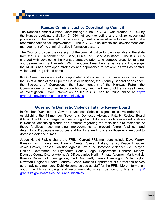#### **Kansas Criminal Justice Coordinating Council**

The Kansas Criminal Justice Coordinating Council (KCJCC) was created in 1994 by the Kansas Legislature (K.S.A. 74-9501 et seq.) to define and analyze issues and processes in the criminal justice system, identify alternative solutions, and make recommendations for improvement. The KCJCC also directs the development and management of the criminal justice information system.

The Council provides the oversight of the criminal justice funding available to the state from the U. S. Department of Justice, Bureau of Justice Assistance. The KCJCC is charged with developing the Kansas strategy, prioritizing purpose areas for funding, and determining grant awards. With the Council members' expertise and knowledge, the KCJCC has developed strategies and approaches to prevent, as well as control, violent and drug-related crimes.

KCJCC members are statutorily appointed and consist of the Governor or designee, the Chief Justice of the Supreme Court or designee, the Attorney General or designee, the Secretary of Corrections, the Superintendent of the Highway Patrol, the Commissioner of the Juvenile Justice Authority, and the Director of the Kansas Bureau of Investigation. More information on the KCJCC can be found online at [http://](http://grants.ks.gov/boards-councils-and-initiatives) [grants.ks.gov/boards](http://grants.ks.gov/boards-councils-and-initiatives)-councils-and-initiatives.

#### **Governor's Domestic Violence Fatality Review Board**

In October 2004, former Governor Kathleen Sebelius signed executive order 04-11 establishing the 14-member Governor's Domestic Violence Fatality Review Board (FRB). The FRB is charged with reviewing all adult domestic violence-related fatalities in Kansas, describing trends and patterns regarding the facts and circumstances of these fatalities, recommending improvements to prevent future fatalities, and determining if adequate resources and trainings are in place for those who respond to domestic violence crimes.

Judge Harold Flaigle chairs the FRB. Current FRB members include Dave Warry, Kansas Law Enforcement Training Center; Steven Halley, Family Peace Initiative; Joyce Grover, Kansas Coalition Against Sexual & Domestic Violence; Vicki Meyer, Unified Government of Wyandotte County Legal Department; Deborah Moody, Douglas County District Attorney's Office; Janice Norlin, Private Attorney; Mark Malick, Kansas Bureau of Investigation; Curt Brungardt, Jana's Campaign; Paula Taylor, Newman Regional Health. Audrey Cress, Kansas Department of Corrections serves as an advisory member. Debi Holcomb serves as staff for the FRB. More information about the FRB's findings and recommendations can be found online at [http://](http://grants.ks.gov/boards-councils-and-initiatives) [grants.ks.gov/boards](http://grants.ks.gov/boards-councils-and-initiatives)-councils-and-initiatives.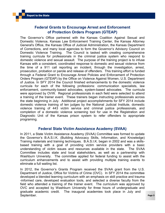#### **Federal Grants to Encourage Arrest and Enforcement of Protection Orders Program (GTEAP)**

The Governor's Office partnered with the Kansas Coalition Against Sexual and Domestic Violence, Kansas Law Enforcement Training Center, the Kansas Attorney General's Office, the Kansas Office of Judicial Administration, the Kansas Department of Corrections, and many local agencies to form the Governor's Advisory Council on Domestic Violence Training. The Council is tasked with creating comprehensive training curricula for professionals in the criminal justice system who respond to domestic violence and sexual assault. The purpose of the training project is to infuse Kansas with a consistent, coordinated response to domestic and sexual violence from the time of a 911 call reporting an incident, through the investigation, arrest, prosecution, probation or parole and release of offenders. This training effort is funded through a Federal Grant to Encourage Arrest Policies and Enforcement of Protection Orders Program (GTEAP) by the Office on Violence Against Women, U.S. Department of Justice. In SFY 2014 the Council finished enhancements to the domestic violence curricula for each of the following professions: communication specialists, law enforcement, community-based advocates, system-based advocates. The curricula were approved by OVW. Regional professionals in each field were selected to attend a training of the trainer event. These trainers began instructing professionals across the state beginning in July. Additional project accomplishments for SFY 2014 include domestic violence training of ten judges by the National Judicial Institute, domestic violence training of 443 victim service and criminal justice professionals, and completion of a domestic violence screening tool for use in the Registration and Diagnostic Unit of the Kansas prison system to refer offenders to appropriate programing.

#### **Federal State Victim Assistance Academy (SVAA)**

In 2011, a State Victim Assistance Academy (SVAA) Committee was formed to update the Governor's B.A.S.I.K. (Building Advocacy Skills, Information, and Knowledge) Training materials and training techniques. B.A.S.I.K. began in 2002 and was a skillsbased training with a goal of providing victim service providers with a basic understanding of victim issues and resources available in the state. The SVAA Committee includes state and local stakeholders, as well as a partnership with Washburn University. The committee applied for federal funding to assist with the curriculum enhancements and to assist with providing multiple training events to eliminate a full waiting list.

In 2012, the Governor's Grants Program received the SVAA grant from the U.S. Department of Justice, Office for Victims of Crime (OVC). In SFY 2014 the committee developed a blended learning curriculum with an emphasis on skill practice and trauma -informed care, developed evaluation tools, and selected a diverse faculty from the field who attended a training of the trainer event. The curriculum was approved by OVC and accepted by Washburn University for three hours of undergraduate and graduate academic credit. The inaugural academies took place in July and September. Page 3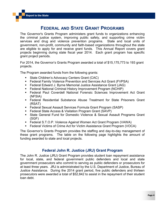# **FEDERAL AND STATE GRANT PROGRAMS**

The Governor's Grants Program administers grant funds to organizations enhancing the criminal justice system, improving public safety, and supporting crime victim services and drug and violence prevention programs. State and local units of government, non-profit, community and faith-based organizations throughout the state are eligible to apply for and receive grant funds. This Annual Report covers grant projects beginning during state fiscal year 2014. Each grant program has specific grant project periods.

For 2014, the Governor's Grants Program awarded a total of \$15,175,773 to 193 grant projects.

The Program awarded funds from the following grants:

- **State Children's Advocacy Centers Grant (CAC)**
- Federal Family Violence Prevention and Services Act Grant (FVPSA)
- Federal Edward J. Byrne Memorial Justice Assistance Grant (JAG)
- Federal National Criminal History Improvement Program (NCHIP)
- Federal Paul Coverdell National Forensic Sciences Improvement Act Grant (NFSIA)
- Federal Residential Substance Abuse Treatment for State Prisoners Grant (RSAT)
- Federal Sexual Assault Services Formula Grant Program (SASP)
- Federal State Access & Visitation Program Grant (SAVP)
- State General Fund for Domestic Violence & Sexual Assault Programs Grant (SGF)
- Federal S.T.O.P. Violence Against Women Act Grant Program (VAWA)
- Federal Victims of Crime Act for Victim Assistance Grant Program (VOCA)

The Governor's Grants Program provides the staffing and day-to-day management of these grant programs. The table on the following page highlights the amount of funding awarded to state and local projects.

#### **Federal John R. Justice (JRJ) Grant Program**

The John R. Justice (JRJ) Grant Program provides student loan repayment assistance for local, state, and federal government public defenders and local and state government prosecutors who commit to serving as public defenders or prosecutors for at least three years. JRJ is administrated by the U.S. Department of Justice, Bureau of Justice Assistance. During the 2014 grant period, five public defenders and thirteen prosecutors were awarded a total of \$52,842 to assist in the repayment of their student loan debt.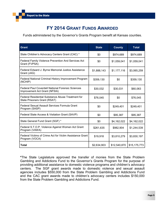# **FY 2014 GRANT FUNDS AWARDED**

Funds administered by the Governor's Grants Program benefit all Kansas counties.

| <b>Grant</b>                                                                              | <b>State</b> | <b>County</b> | <b>Total</b> |
|-------------------------------------------------------------------------------------------|--------------|---------------|--------------|
| State Children's Advocacy Centers Grant (CAC) *                                           | \$0          | \$974,689     | \$974,689    |
| Federal Family Violence Prevention And Services Act<br>Grant (FVPSA)                      | \$0          | \$1,059,041   | \$1,059,041  |
| Federal Edward J. Byrne Memorial Justice Assistance<br>Grant (JAG)                        | \$1,888,143  | \$1,177,116   | \$3,065,259  |
| Federal National Criminal History Improvement Program<br>(NCHIP)                          | \$359,130    | \$0           | \$359,130    |
| <b>Federal Paul Coverdell National Forensic Sciences</b><br>Improvement Act Grant (NFSIA) | \$30,032     | \$30,031      | \$60,063     |
| <b>Federal Residential Substance Abuse Treatment for</b><br>State Prisoners Grant (RSAT)  | \$76,045     | \$0           | \$76,045     |
| Federal Sexual Assault Services Formula Grant<br>Program (SASP)                           | \$0          | \$249,401     | \$249,401    |
| Federal State Access & Visitation Grant (SAVP)                                            | \$0          | \$95,387      | \$95,387     |
| State General Fund Grant (SGF) *                                                          | \$0          | \$4,162,022   | \$4,162,022  |
| Federal S.T.O.P. Violence Against Women Act Grant<br>Program (VAWA)                       | \$261,635    | \$982,904     | \$1,244,539  |
| Federal Victims of Crime Act for Victim Assistance Grant<br>Program (VOCA)                | \$19,918     | \$3,810,279   | \$3,830,197  |
| Total                                                                                     | \$2,634,903  | \$12,540,870  | \$15,175,773 |

**\***The State Legislature approved the transfer of monies from the State Problem Gambling and Addictions Fund to the Governor's Grants Program for the purpose of providing additional assistance to domestic violence programs and children's advocacy centers. The SGF grant awards made to domestic violence and sexual assault agencies includes \$550,000 from the State Problem Gambling and Addictions Fund and the CAC grant awards made to children's advocacy centers includes \$150,000 from the State Problem Gambling and Addictions Fund.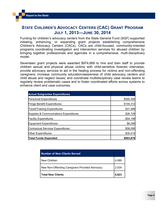#### **STATE CHILDREN'S ADVOCACY CENTERS (CAC) GRANT PROGRAM JULY 1, 2013—JUNE 30, 2014**

Funding for children's advocacy centers from the State General Fund (SGF) supported initiating, enhancing, or expanding grant projects establishing comprehensive Children's Advocacy Centers (CACs). CACs are child-focused, community-oriented programs coordinating investigation and intervention services for abused children by bringing together professionals and agencies in a comprehensive, multi-disciplinary model.

Seventeen grant projects were awarded \$974,689 to hire and train staff to provide children sexual and physical abuse victims with child-sensitive forensic interviews; provide advocacy services to aid in the healing process for victims and non-offending caregivers; increase community education/awareness of child advocacy centers and child abuse and neglect issues; and coordinate multidisciplinary case review teams to regularly review problematic cases and to foster coordinated efforts across systems to enhance client and case outcomes.

| <b>Actual Subgrantee Expenditures</b>    |           |
|------------------------------------------|-----------|
| <b>Personnel Expenditures</b>            | \$590,356 |
| <b>Fringe Benefit Expenditures</b>       | \$104,312 |
| <b>Travel/Training Expenditures</b>      | \$31,488  |
| Supplies & Communications Expenditures   | \$26,729  |
| <b>Facility Expenditures</b>             | \$54,199  |
| Equipment Expenditures                   | \$8,288   |
| <b>Contractual Services Expenditures</b> | \$58,090  |
| <b>Other Expenditures</b>                | \$30,414  |
| <b>Total Funds Expended</b>              | \$903,876 |

| <b>Number of New Clients Served</b>            |       |
|------------------------------------------------|-------|
| New Children                                   | 4,089 |
| New Non-Offending Caregivers Provided Advocacy | 2,534 |
| <b>Total New Clients</b>                       | 6,623 |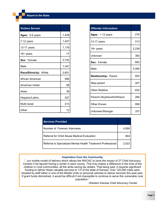| <b>Victims Served</b> |       |
|-----------------------|-------|
| Ages: 0-6 years       | 1,439 |
| 7-12 years            | 1,457 |
| 13-17 years           | 1,176 |
| 18+ years             | 17    |
| Sex: Female           | 2,742 |
| Male                  | 1,347 |
| Race/Ethnicity: White | 2,651 |
| African American      | 589   |
| American Indian       | 58    |
| Asian                 | 39    |
| Hispanic/Latino       | 527   |
| Multi-racial          | 213   |
| Other                 | 12    |

| <b>Services Provided</b>                                     |       |
|--------------------------------------------------------------|-------|
| Number of Forensic Interviews                                | 4.090 |
| Referral for Child Abuse Medical Evaluation                  | 844   |
| Referral to Specialized Mental Health Treatment Professional | 2.023 |

#### **Inspiration from the Community**

"...our mobile model of delivery which allows the WKCAC to have the impact of 27 Child Advocacy Centers if we figured having a center in each county. This truly makes a difference in the lives of the children in rural communities, all the while saving tax dollars. That being said, it requires significant funding to deliver these valuable services to 1/3 of the state of Kansas. Over 120,000 miles were traveled by staff either in one of the Mobile Units or personal vehicles to deliver services this past year. If grant funds diminished, it would be difficult if not impossible to continue to serve this vulnerable rural population."

**-**Western Kansas Child Advocacy Center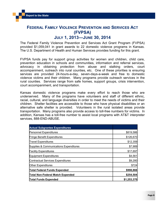## **FEDERAL FAMILY VIOLENCE PREVENTION AND SERVICES ACT (FVPSA) JULY 1, 2013—JUNE 30, 2014**

The Federal Family Violence Prevention and Services Act Grant Program (FVPSA) provided \$1,059,041 in grant awards to 22 domestic violence programs in Kansas. The U.S. Department of Health and Human Services provides funding for this grant.

FVPSA funds pay for support group activities for women and children, child care, prevention education in schools and communities, information and referral services, advocacy in obtaining protection from abuse and stalking orders, court accompaniment, outreach into rural counties, etc. One of these priorities is ensuring services are provided 24-hours-a-day, seven-days-a-week and free to domestic violence victims and their children. Many programs provide outreach services in the rural counties. Services range from safe homes, support groups, crisis intervention, court accompaniment, and transportation.

Kansas domestic violence programs make every effort to reach those who are underserved. Many of the programs have volunteers and staff of different ethnic, racial, cultural, and language diversities in order to meet the needs of victims and their children. Shelter facilities are accessible to those who have physical disabilities or an alternative safe shelter is provided. Volunteers in the rural isolated areas provide transportation. Many programs also provide access to toll-free numbers for victims. In addition, Kansas has a toll-free number to assist local programs with AT&T interpreter services, 888-END-ABUSE.

| <b>Actual Subgrantee Expenditures</b>    |             |
|------------------------------------------|-------------|
| <b>Personnel Expenditures</b>            | \$819,586   |
| Fringe Benefit Expenditures              | \$126,670   |
| <b>Travel Expenditures</b>               | \$12,359    |
| Supplies & Communications Expenditures   | \$7,989     |
| <b>Facility Expenditures</b>             | \$17,697    |
| <b>Equipment Expenditures</b>            | \$4,561     |
| <b>Contractual Services Expenditures</b> | \$9,280     |
| Other Expenditures                       | \$724       |
| <b>Total Federal Funds Expended</b>      | \$998,866   |
| <b>Total Non-Federal Match Expended</b>  | \$254,504   |
| <b>Total Funds Expended</b>              | \$1,253,370 |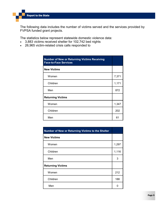The following data includes the number of victims served and the services provided by FVPSA funded grant projects.

The statistics below represent statewide domestic violence data:

- 3,883 victims received shelter for 102,742 bed nights
- 26,965 victim-related crisis calls responded to

| <b>Number of New or Returning Victims Receiving</b><br><b>Face-to-Face Services</b> |       |
|-------------------------------------------------------------------------------------|-------|
| <b>New Victims</b>                                                                  |       |
| Women                                                                               | 7,371 |
| Children                                                                            | 1,171 |
| Men                                                                                 | 872   |
| <b>Returning Victims</b>                                                            |       |
| Women                                                                               | 1,347 |
| Children                                                                            | 202   |
| Men                                                                                 | 61    |

| Number of New or Returning Victims to the Shelter |       |
|---------------------------------------------------|-------|
| <b>New Victims</b>                                |       |
| Women                                             | 1,297 |
| Children                                          | 1,116 |
| Men                                               | 3     |
| <b>Returning Victims</b>                          |       |
| Women                                             | 212   |
| Children                                          | 188   |
| Men                                               | 0     |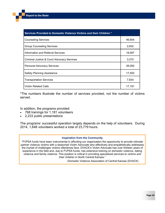| Services Provided to Domestic Violence Victims and their Children * |        |
|---------------------------------------------------------------------|--------|
| <b>Counseling Services</b>                                          | 46,904 |
| <b>Group Counseling Services</b>                                    | 2,832  |
| Information and Referral Services                                   | 18,567 |
| Criminal Justice & Court Advocacy Services                          | 3,370  |
| <b>Personal Advocacy Services</b>                                   | 26,092 |
| <b>Safety Planning Assistance</b>                                   | 17,550 |
| <b>Transportation Services</b>                                      | 7,834  |
| <b>Victim Related Calls</b>                                         | 17,191 |

\*The numbers illustrate the number of services provided, not the number of victims served.

In addition, the programs provided:

- 768 trainings for 1,181 volunteers
- 2,233 public presentations

The programs' successful operation largely depends on the help of volunteers. During 2014, 1,648 volunteers worked a total of 23,779 hours.

#### **Inspiration from the Community**

"FVPSA funds have been instrumental in affording our organization the opportunity to provide intimate partner violence victims with a seasoned Victim Advocate who effectively and empathetically addresses the myriad of challenges victims oftentimes face. DVACK's Victim Advocate has over thirteen years of experience in the field and, due to FVPSA funds, has extensive training on domestic violence, dating violence and family violence. This position is critical in providing specialized services to victims and their children in North Central Kansas."

-Domestic Violence Association of Central Kansas (DVACK)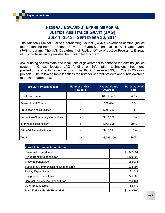## **FEDERAL EDWARD J. BYRNE MEMORIAL JUSTICE ASSISTANCE GRANT (JAG) JULY 1, 2013—SEPTEMBER 30, 2014**

The Kansas Criminal Justice Coordinating Council (KCJCC) oversees criminal justice federal funding from the Federal Edward J. Byrne Memorial Justice Assistance Grant (JAG) program. The U.S. Department of Justice, Office of Justice Programs, Bureau of Justice Assistance provides the funding for this grant.

JAG funding assists state and local units of government to enhance the criminal justice system. Kansas focuses JAG funding on information technology, treatment, prevention, and enforcement efforts. The KCJCC awarded \$3,065,259 to 23 grant projects. The following table identifies the number of grant projects and funds awarded to each program area.

| <b>SFY 2014 Priority Issues</b>          | <b>Number of Grant</b><br><b>Projects</b> | <b>Federal Funds</b><br><b>Awarded</b> | Percentage of<br>Total |
|------------------------------------------|-------------------------------------------|----------------------------------------|------------------------|
| Law Enforcement                          | 6                                         | \$1,313,461                            | 43%                    |
| <b>Prosecution &amp; Courts</b>          |                                           | \$68,014                               | 2%                     |
| <b>Prevention and Education</b>          | 4                                         | \$200,063                              | 7%                     |
| <b>Corrections/Community Corrections</b> | 2                                         | \$311,302                              | 10%                    |
| Information Technology                   | 6                                         | \$761,608                              | 25%                    |
| <b>Crime Victim and Witness</b>          | 4                                         | \$410,811                              | 13%                    |
| Total                                    | 23                                        | \$3,065,259                            | 100%                   |

| <b>Actual Subgrantee Expenditures</b>    |             |
|------------------------------------------|-------------|
| <b>Personnel Expenditures</b>            | \$1,347,654 |
| <b>Fringe Benefit Expenditures</b>       | \$470,300   |
| <b>Travel Expenditures</b>               | \$54,286    |
| Supplies & Communications Expenditures   | \$28,894    |
| <b>Facility Expenditures</b>             | \$1,017     |
| <b>Equipment Expenditures</b>            | \$225,203   |
| <b>Contractual Services Expenditures</b> | \$714,131   |
| <b>Other Expenditures</b>                | \$8,470     |
| <b>Total Federal Funds Expended</b>      | \$2,849,955 |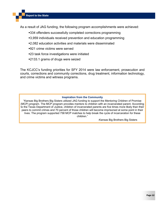As a result of JAG funding, the following program accomplishments were achieved:

- 334 offenders successfully completed corrections programming
- 3,959 individuals received prevention and education programming
- 2,082 education activities and materials were disseminated
- 921 crime victims were served
- 23 task force investigations were initiated
- 2133.1 grams of drugs were seized

The KCJCC's funding priorities for SFY 2014 were law enforcement, prosecution and courts, corrections and community corrections, drug treatment, information technology, and crime victims and witness programs.

#### **Inspiration from the Community**

"Kansas Big Brothers Big Sisters utilized JAG funding to support the Mentoring Children of Promise (MCP) program. The MCP program provides mentors to children with an incarcerated parent. According to the Texas Department of Justice, children of incarcerated parents are five times more likely than their peers to commit crimes and 70 percent of those children will become imprisoned at some point in their lives. The program supported 758 MCP matches to help break the cycle of incarceration for these children."

*-*Kansas Big Brothers Big Sisters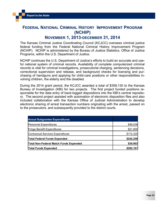#### **FEDERAL NATIONAL CRIMINAL HISTORY IMPROVEMENT PROGRAM (NCHIP)**

#### **NOVEMBER 1, 2013-DECEMBER 31, 2014**

The Kansas Criminal Justice Coordinating Council (KCJCC) oversees criminal justice federal funding from the Federal National Criminal History Improvement Program (NCHIP). NCHIP is administered by the Bureau of Justice Statistics, Office of Justice Programs, within the U.S. Department of Justice.

NCHIP continues the U.S. Department of Justice's efforts to build an accurate and useful national system of criminal records. Availability of complete computerized criminal records is vital for criminal investigations, prosecutorial charging, sentencing decisions, correctional supervision and release, and background checks for licensing and purchasing of handguns and applying for child-care positions or other responsibilities involving children, the elderly and the disabled.

During the 2014 grant period, the KCJCC awarded a total of \$359,130 to the Kansas Bureau of Investigation (KBI) for two projects. The first project funded positions responsible for the data entry of back-logged dispositions into the KBI's central repository. The second project assisted with automation of electronic disposition files and also included collaboration with the Kansas Office of Judicial Administration to develop electronic sharing of arrest transaction numbers originating with the arrest, passed on to the prosecutors, and subsequently provided to the district courts.

| <b>Actual Subgrantee Expenditures</b>         |           |
|-----------------------------------------------|-----------|
| <b>Personnel Expenditures</b>                 | \$48,038  |
| <b>Fringe Benefit Expenditures</b>            | \$21,900  |
| <b>Contractual Services Expenditures</b>      | \$172,320 |
| <b>Total Federal Funds Expended</b>           | \$242,258 |
| <b>Total Non-Federal Match Funds Expended</b> | \$39,903  |
| <b>Total Funds Expended</b>                   | \$282,161 |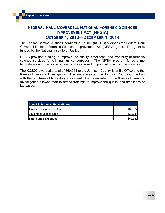# **FEDERAL PAUL COVERDELL NATIONAL FORENSIC SCIENCES IMPROVEMENT ACT (NFSIA) OCTOBER 1, 2013—DECEMBER 1, 2014**

The Kansas Criminal Justice Coordinating Council (KCJCC) oversees the Federal Paul Coverdell National Forensic Sciences Improvement Act (NFSIA) grant. The grant is funded by the National Institute of Justice.

NFSIA provides funding to improve the quality, timeliness, and credibility of forensic science services for criminal justice purposes. The NFSIA program funds crime laboratories and medical examiner's offices based on population and crime statistics.

The KCJCC awarded a total of \$60,063 to the Johnson County Sheriff's Office and the Kansas Bureau of Investigation. The funds assisted the Johnson County Crime Lab with the purchase of laboratory equipment. Funds awarded to the Kansas Bureau of Investigation allowed staff to attend trainings to improve the quality and timeliness of lab cases.

| <b>Actual Subgrantee Expenditures</b> |          |
|---------------------------------------|----------|
| <b>Travel/Training Expenditures</b>   | \$30,032 |
| Equipment Expenditures                | \$30,031 |
| <b>Total Funds Expended</b>           | \$60,063 |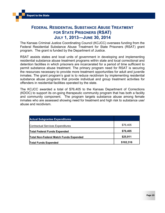## **FEDERAL RESIDENTIAL SUBSTANCE ABUSE TREATMENT FOR STATE PRISONERS (RSAT) JULY 1, 2013—JUNE 30, 2014**

The Kansas Criminal Justice Coordinating Council (KCJCC) oversees funding from the Federal Residential Substance Abuse Treatment for State Prisoners (RSAT) grant program. The grant is funded by the Department of Justice.

RSAT assists states and local units of government in developing and implementing residential substance abuse treatment programs within state and local correctional and detention facilities in which prisoners are incarcerated for a period of time sufficient to permit substance abuse treatment. The primary program need for RSAT is securing the resources necessary to provide more treatment opportunities for adult and juvenile inmates. The grant program's goal is to reduce recidivism by implementing residential substance abuse programs that provide individual and group treatment activities for offenders in residential facilities operated by the state.

The KCJCC awarded a total of \$76,405 to the Kansas Department of Corrections (KDOC) to support its on-going therapeutic community program that has both a facility and community component. The program targets substance abuse among female inmates who are assessed showing need for treatment and high risk to substance use/ abuse and recidivism.

| <b>Actual Subgrantee Expenditures</b>         |           |
|-----------------------------------------------|-----------|
| <b>Contractual Services Expenditures</b>      | \$76,405  |
| <b>Total Federal Funds Expended</b>           | \$76,405  |
| <b>Total Non-Federal Match Funds Expended</b> | \$25,911  |
| <b>Total Funds Expended</b>                   | \$102,316 |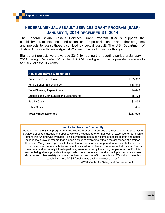#### **FEDERAL SEXUAL ASSAULT SERVICES GRANT PROGRAM (SASP) JANUARY 1, 2014-DECEMBER 31, 2014**

The Federal Sexual Assault Services Grant Program (SASP) supports the establishment, maintenance, and expansion of rape crisis centers and other programs and projects to assist those victimized by sexual assault. The U.S. Department of Justice, Office on Violence Against Women provides funding for this grant.

Eight grant projects were awarded \$249,401 during the reporting period of January 1, 2014 through December 31, 2014. SASP-funded grant projects provided services to 511 sexual assault victims.

| <b>Actual Subgrantee Expenditures</b>    |           |
|------------------------------------------|-----------|
| <b>Personnel Expenditures</b>            | \$185,957 |
| <b>Fringe Benefit Expenditures</b>       | \$38,948  |
| <b>Travel/Training Expenditures</b>      | \$4,443   |
| Supplies and Communications Expenditures | \$5,173   |
| <b>Facility Costs</b>                    | \$2,064   |
| <b>Other Costs</b>                       | \$435     |
| <b>Total Funds Expended</b>              | \$237,020 |

#### **Inspiration from the Community**

"Funding from the SASP program has allowed us to offer the services of a licensed therapist to victim/ survivors of sexual assault and abuse. We were not able to offer that level of expertise for our clients before this funding was available. This is important because victims of sexual assault and abuse experience a level of trauma that is often difficult to overcome without the assistance of a trained therapist. Many victims go on with life as though nothing has happened for a while, but when the incident starts to interfere with life and emotions start to bubble up, professional help is vital. Family members, and especially intimate partners, are often exactly the wrong people to talk to. For this reason, being able to provide a therapist who has experience in working with post-traumatic stress disorder and other anxiety disorders has been a great benefit to our clients. We did not have this capability before SASP funding was available to our agency."

-YWCA Center for Safety and Empowerment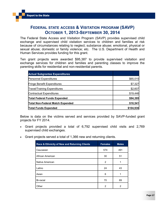## **FEDERAL STATE ACCESS & VISITATION PROGRAM (SAVP) OCTOBER 1, 2013-SEPTEMBER 30, 2014**

The Federal State Access and Visitation Program (SAVP) provides supervised child exchange and supervised child visitation services to children and families at risk because of circumstances relating to neglect; substance abuse; emotional, physical or sexual abuse; domestic or family violence; etc. The U.S. Department of Health and Human Services provides funding for this grant.

Ten grant projects were awarded \$95,387 to provide supervised visitation and exchange services for children and families and parenting classes to improve the parenting skills for residential and non-residential parents.

| <b>Actual Subgrantee Expenditures</b>   |           |
|-----------------------------------------|-----------|
| <b>Personnel Expenditures</b>           | \$65,015  |
| <b>Fringe Benefit Expenditures</b>      | \$7,327   |
| <b>Travel/Training Expenditures</b>     | \$2,607   |
| <b>Contractual Expenditures</b>         | \$19,446  |
| Total Federal Funds Expended            | \$94,395  |
| <b>Total Non-Federal Match Expended</b> | \$10,541  |
| <b>Total Funds Expended</b>             | \$104,936 |

Below is data on the victims served and services provided by SAVP-funded grant projects for FY 2014.

- Grant projects provided a total of 6,792 supervised child visits and 2,769 supervised child exchanges.
- Grant projects served a total of 1,366 new and returning clients.

| Race & Ethnicity of New and Returning Clients | <b>Females</b> | <b>Males</b> |
|-----------------------------------------------|----------------|--------------|
| Caucasian                                     | 574            | 491          |
| African American                              | 30             | 51           |
| Native American                               | 2              | 1            |
| Latino                                        | 24             | 43           |
| Asian                                         | 6              | 1            |
| Bi-racial                                     | 70             | 69           |
| Other                                         | 2              | 2            |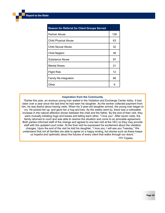| <b>Reason for Referral for Client Groups Served</b> |     |
|-----------------------------------------------------|-----|
| <b>Partner Abuse</b>                                | 138 |
| <b>Child Physical Abuse</b>                         | 63  |
| Child Sexual Abuse                                  | 32  |
| <b>Child Neglect</b>                                | 38  |
| Substance Abuse                                     | 97  |
| <b>Mental Illness</b>                               | 21  |
| <b>Flight Risk</b>                                  | 12  |
| <b>Family Re-integration</b>                        | 68  |
| Other                                               | 9   |

#### **Inspiration from the Community**

"Earlier this year, an anxious young man waited in the Visitation and Exchange Center lobby. It had been over a year since the last time he had seen his daughter. As the worker collected payment from him, he was tearful about having visits. When his 3-year-old daughter arrived, the young man began to cry. He picked her up, and gave her a hug and kiss. As the weeks went by, there was a noticeable increase in the natural affection shown between the child and the father. By the end of their visit, they were mutually initiating hugs and kisses and telling each other, "I love you". After seven visits, the family returned to court and was able to resolve the situation and come to an amicable agreement. Both parties informed staff of the change and agreed to one last visit at the VEC so they may provide staff with the updated court order. At the final visit he expressed his excitement about the visitation changes. Upon the end of the visit he told his daughter, "I love you; I will see you Tuesday." We understand that not all families are able to agree on a happy ending, but stories such as these keeps us hopeful and optimistic about the futures of every client that walks through our doors."

-TFI Topeka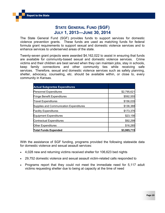## **STATE GENERAL FUND (SGF) JULY 1, 2013—JUNE 30, 2014**

The State General Fund (SGF) provides funds to support services for domestic violence prevention grants. These funds are used as matching funds for federal formula grant requirements to support sexual and domestic violence services and to enhance services to underserved areas of the state.

Twenty-seven grant projects were awarded \$4,162,022 to assist in ensuring that funds are available for community-based sexual and domestic violence services. Crime victims and their children are best served when they can maintain jobs, stay in schools, keep family connections and other community ties while receiving safe services. Therefore, sexual and domestic violence services such as safety planning, shelter, advocacy, counseling, etc. should be available within, or close to, every community in Kansas.

| <b>Actual Subgrantee Expenditures</b>   |             |
|-----------------------------------------|-------------|
| <b>Personnel Expenditures</b>           | \$2,795,621 |
| <b>Fringe Benefit Expenditures</b>      | \$592,555   |
| <b>Travel Expenditures</b>              | \$156,035   |
| Supplies and Communication Expenditures | \$136,388   |
| <b>Facility Expenditures</b>            | \$173,376   |
| <b>Equipment Expenditures</b>           | \$23,156    |
| <b>Contractual Expenditures</b>         | \$92,299    |
| <b>Other Expenditures</b>               | \$16,285    |
| <b>Total Funds Expended</b>             | \$3,985,715 |

With the assistance of SGF funding, programs provided the following statewide data for domestic violence and sexual assault services:

- 4,028 new and returning victims received shelter for 106,623 bed nights
- 29,752 domestic violence and sexual assault victim-related calls responded to
- Programs report that they could not meet the immediate need for 5,117 adult victims requesting shelter due to being at capacity at the time of need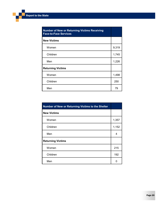| <b>Number of New or Returning Victims Receiving</b><br><b>Face-to-Face Services</b> |       |
|-------------------------------------------------------------------------------------|-------|
| <b>New Victims</b>                                                                  |       |
| Women                                                                               | 9,319 |
| Children                                                                            | 1,745 |
| Men                                                                                 | 1,226 |
| <b>Returning Victims</b>                                                            |       |
| Women                                                                               | 1,498 |
| Children                                                                            | 250   |
| Men                                                                                 | 79    |

| Number of New or Returning Victims to the Shelter |       |
|---------------------------------------------------|-------|
| <b>New Victims</b>                                |       |
| Women                                             | 1,357 |
| Children                                          | 1,152 |
| Men                                               | 4     |
| <b>Returning Victims</b>                          |       |
| Women                                             | 215   |
| Children                                          | 192   |
| Men                                               | n     |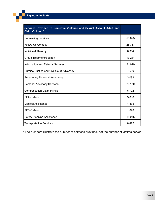| Services Provided to Domestic Violence and Sexual Assault Adult and<br><b>Child Victims.</b> * |        |
|------------------------------------------------------------------------------------------------|--------|
| <b>Counseling Services</b>                                                                     | 53,625 |
| Follow-Up Contact                                                                              | 26,317 |
| Individual Therapy                                                                             | 6,354  |
| Group Treatment/Support                                                                        | 13,281 |
| <b>Information and Referral Services</b>                                                       | 21,029 |
| Criminal Justice and Civil Court Advocacy                                                      | 7,669  |
| <b>Emergency Financial Assistance</b>                                                          | 3,092  |
| <b>Personal Advocacy Services</b>                                                              | 29,170 |
| <b>Compensation Claim Filings</b>                                                              | 6,702  |
| <b>PFA Orders</b>                                                                              | 3,838  |
| <b>Medical Assistance</b>                                                                      | 1,835  |
| <b>PFS Orders</b>                                                                              | 1,090  |
| <b>Safety Planning Assistance</b>                                                              | 18,945 |
| <b>Transportation Services</b>                                                                 | 8,422  |

\* The numbers illustrate the number of services provided, not the number of victims served.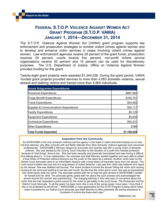# **FEDERAL S.T.O.P. VIOLENCE AGAINST WOMEN ACT GRANT PROGRAM (S.T.O.P. VAWA) JANUARY 1, 2014—DECEMBER 31, 2014**

The S.T.O.P. Violence Against Women Act (VAWA) grant program supports law enforcement and prosecution strategies to combat violent crimes against women and to develop and enhance victim services in cases involving violent crimes against women. Law enforcement agencies receive 25 percent of the grant funds, prosecution receives 25 percent, courts receive five percent, non-profit victims service organizations receive 30 percent and 15 percent can be used for discretionary purposes. The U.S. Department of Justice, Office on Violence Against Women provides funding for this grant.

Twenty-eight grant projects were awarded \$1,244,539. During the grant period, VAWA -funded grant projects provided services to more than 4,063 domestic violence, sexual assault and stalking victims and trained more than 4,964 individuals.

| <b>Actual Subgrantee Expenditures</b>  |             |
|----------------------------------------|-------------|
| <b>Personnel Expenditures</b>          | \$887,962   |
| <b>Fringe Benefit Expenditures</b>     | \$193,791   |
| <b>Travel Expenditures</b>             | \$34.682    |
| Supplies & Communications Expenditures | \$20,117    |
| <b>Facility Expenditures</b>           | \$5,125     |
| Equipment Expenditures                 | \$5,935     |
| Contractual Expenditures               | \$42,231    |
| <b>Other Expenditures</b>              | \$186       |
| <b>Total Funds Expended</b>            | \$1,190,029 |

#### **Inspiration from the Community**

"As SAFEHOME is the only domestic violence service agency in the state or metro area that employs an on-site, full-time attorney, she often consults with and fields referrals from other domestic violence agencies and concerned professionals. SAFEHOME's Attorney relayed an encounter she recently had with a young victim of domestic violence. She was alerted by the County Court Volunteer to the situation of a youth who needed protection because of "bad things" done to her. She had been sexually and physically traumatized and was having a difficult time talking about it. In true collaboration, the volunteer and staff Attorney worked together and were able to obtain a final Order of Protection without having to put the youth on the stand as a witness. Another victim seen by the District Court Advocate came to an Information Session with a long history of traumatic injury from her abuser. The most recent incident was just one of a long stream of violent behavior. Last year this victim was battered and raped by her abuser. She was stabbed and burned. The recent incident involved the abuser hitting the victim and causing bruising to her arms and swelling to her lips and mouth. By the time the victim got to court, she was so traumatized she could barely write her name. The advocate worked with her to help her gain access to SAFEHOME's shelter for herself and her child. The advocate gently spoke with her about the court process and acknowledged the severe trauma this woman was experiencing. The charging attorney in this case was co concerned about this victim that she had requested a police escort for the victim to get safely to the court house. The Prosecutor told the District Court Advocate, "In all the years I've been here, this is one of the worse cases I have seen. I truly think if she is not protected he will kill her." SAFEHOME is most appreciative for the STOP Program funding which helps make it possible for our District Court Advocate and Staff Attorney to offer potentially life-saving assistance to hundreds of victims like these each year."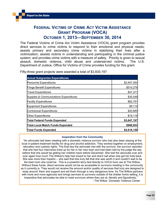# **FEDERAL VICTIMS OF CRIME ACT VICTIM ASSISTANCE GRANT PROGRAM (VOCA) OCTOBER 1, 2013—SEPTEMBER 30, 2014**

The Federal Victims of Crime Act Victim Assistance (VOCA) grant program provides direct services to crime victims to respond to their emotional and physical needs; assists primary and secondary crime victims in stabilizing their lives after a victimization; assists victims in understanding and participating in the criminal justice system; and provides crime victims with a measure of safety. Priority is given to sexual assault, domestic violence, child abuse and underserved victims. The U.S. Department of Justice, Office for Victims of Crime provides funding for this grant.

| <b>Actual Subgrantee Expenditures</b>   |             |
|-----------------------------------------|-------------|
| <b>Personnel Expenditures</b>           | \$2,947,093 |
| <b>Fringe Benefit Expenditures</b>      | \$510,276   |
| <b>Travel Expenditures</b>              | \$47,371    |
| Supplies & Communications Expenditures  | \$30,549    |
| <b>Facility Expenditures</b>            | \$62,791    |
| Equipment Expenditures                  | \$9,114     |
| <b>Contractual Expenditures</b>         | \$20,885    |
| <b>Other Expenditures</b>               | \$19,118    |
| Total Federal Funds Expended            | \$3,647,197 |
| <b>Total Local Match Funds Expended</b> | \$968,953   |
| <b>Total Funds Expended</b>             | \$4,616,150 |

Fifty-three grant projects were awarded a total of \$3,830,197.

#### **Inspiration from the Community**

"An advocate had been meeting with a domestic violence survivor who had also been staying at the local in-patient treatment facility for drug and alcohol addiction. They worked together on employment, relocation and custody rights. The final day the advocate met with the survivor, the survivor reported that she had four interviews lined up for her in her new town and had been told by the judge the day before that she would be getting her children back before December. She told the advocate over and over again how much The Willow's help had meant to her and she'd call when she got her kids back. She was more than hopeful -- she said that she truly felt that she was worth it and couldn't wait to be the best mom she could be. This is a powerful story tied directly to VOCA fund use at The Willow. Without these funds, direct services would not be as accessible to survivors residing in the community as it currently is. They would not receive the amount and/or quality of services that truly are designed to 'wrap around' them and support and aid them through a very dangerous time. As The Willow partners with more and more agencies and brings services to survivors outside of the shelter home setting, it is imperative that advocates be able to meet survivors where they are at, literally and figuratively." - The Willow Domestic Violence Center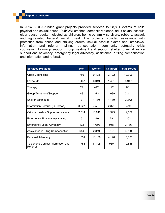In 2014, VOCA-funded grant projects provided services to 28,801 victims of child physical and sexual abuse, DUI/DWI crashes, domestic violence, adult sexual assault, elder abuse, adults molested as children, homicide family survivors, robbery, assault and aggravated battery/criminal threat. The projects provided assistance with protection from abuse and stalking orders, sexual assault exams and interviews, information and referral mailings, transportation, community outreach, crisis counseling, follow-up support, group treatment and support, shelter, criminal justice support and advocacy, emergency legal advocacy, assistance in filing compensation and information and referrals.

| <b>Services Provided</b>                      | <b>Men</b> | <b>Women</b> | <b>Children</b> | <b>Total Served</b> |
|-----------------------------------------------|------------|--------------|-----------------|---------------------|
| <b>Crisis Counseling</b>                      | 756        | 9,428        | 2,722           | 12,906              |
| Follow-Up                                     | 1,437      | 6,049        | 1,461           | 8,947               |
| Therapy                                       | 27         | 442          | 192             | 661                 |
| Group Treatment/Support                       | 88         | 1,514        | 1,639           | 3,241               |
| Shelter/Safehouse                             | 3          | 1,180        | 1,189           | 2,372               |
| Information/Referral (In Person)              | 3,027      | 7,581        | 2,871           | 479                 |
| Criminal Justice Support/Advocacy             | 7,014      | 10,612       | 1,943           | 19,569              |
| <b>Emergency Financial Assistance</b>         | 5          | 219          | 79              | 303                 |
| <b>Emergency Legal Advocacy</b>               | 172        | 1,656        | 958             | 2,786               |
| Assistance in Filing Compensation             | 644        | 2,319        | 767             | 3,730               |
| Personal Advocacy                             | 1,051      | 10,186       | 4,146           | 15,383              |
| Telephone Contact Information and<br>Referral | 1,756      | 8,142        | 960             | 10,858              |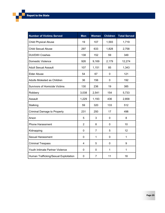| <b>Number of Victims Served</b>       | <b>Men</b>     | <b>Women</b>   | <b>Children</b> | <b>Total Served</b> |
|---------------------------------------|----------------|----------------|-----------------|---------------------|
| <b>Child Physical Abuse</b>           | 19             | 107            | 1,593           | 1,719               |
| <b>Child Sexual Abuse</b>             | 297            | 633            | 1,828           | 2,758               |
| <b>DUI/DWI Crashes</b>                | 138            | 152            | 59              | 349                 |
| Domestic Violence                     | 926            | 9,169          | 2,179           | 12,274              |
| <b>Adult Sexual Assault</b>           | 107            | 1,151          | 85              | 1,343               |
| <b>Elder Abuse</b>                    | 54             | 67             | $\mathbf 0$     | 121                 |
| Adults Molested as Children           | 36             | 156            | 0               | 192                 |
| <b>Survivors of Homicide Victims</b>  | 130            | 236            | 19              | 385                 |
| Robbery                               | 3,038          | 2,541          | 154             | 5,733               |
| Assault                               | 1,229          | 1,193          | 436             | 2,858               |
| Stalking                              | 59             | 320            | 133             | 512                 |
| <b>Criminal Damage to Property</b>    | 231            | 250            | 17              | 498                 |
| Arson                                 | 5              | 3              | $\mathbf 0$     | 8                   |
| <b>Phone Harassment</b>               | $\overline{2}$ | 8              | 0               | 10                  |
| Kidnapping                            | 0              | $\overline{7}$ | 5               | 12                  |
| <b>Sexual Harassment</b>              | 0              | $\mathbf{1}$   | 0               | 1                   |
| <b>Criminal Trespass</b>              | 4              | 5              | $\pmb{0}$       | 9                   |
| Youth Intimate Partner Violence       | 0              | 0              | $\mathbf{1}$    | 1                   |
| Human Trafficking/Sexual Exploitation | 0              | $\overline{7}$ | 11              | 18                  |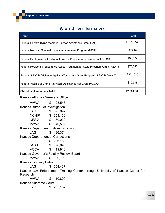## **STATE-LEVEL INITIATIVES**

| Grant                                                                          | Total       |
|--------------------------------------------------------------------------------|-------------|
| Federal Edward Byrne Memorial Justice Assistance Grant (JAG)                   | \$1,888,143 |
| Federal National Criminal History Improvement Program (NCHIP)                  | \$359,130   |
| Federal Paul Coverdell National Forensic Science Improvement Act (NFSIA)       | \$30,032    |
| Federal Residential Substance Abuse Treatment for State Prisoners Grant (RSAT) | \$76,045    |
| Federal S.T.O.P. Violence Against Women Act Grant Program (S.T.O.P. VAWA)      | \$261,635   |
| Federal Victims of Crime Act Victim Assistance Act Grant (VOCA)                | \$19,918    |
| <b>State-Level Initiatives Total</b>                                           | \$2,634,903 |

Kansas Attorney General's Office

VAWA \$ 123,543 Kansas Bureau of Investigation JAG \$ 675,992 NCHIP \$ 359,130 NFSIA \$ 30,032 VAWA \$ 46,502 Kansas Department of Administration JAG \$ 126,374 Kansas Department of Corrections JAG \$ 226,188 RSAT \$ 76,045 VOCA \$ 19,918 Kansas Governor's Fatality Review Board VAWA \$ 80,790 Kansas Highway Patrol JAG \$ 654,437 Kansas Law Enforcement Training Center through University of Kansas Center for Research VAWA \$ 10,800 Kansas Supreme Court JAG \$ 205,152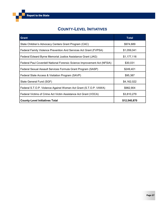# **COUNTY-LEVEL INITIATIVES**

| <b>Grant</b>                                                             | <b>Total</b> |
|--------------------------------------------------------------------------|--------------|
| State Children's Advocacy Centers Grant Program (CAC)                    | \$974,689    |
| Federal Family Violence Prevention And Services Act Grant (FVPSA)        | \$1,059,041  |
| Federal Edward Byrne Memorial Justice Assistance Grant (JAG)             | \$1,177,116  |
| Federal Paul Coverdell National Forensic Science Improvement Act (NFSIA) | \$30,031     |
| Federal Sexual Assault Services Formula Grant Program (SASP)             | \$249,401    |
| Federal State Access & Visitation Program (SAVP)                         | \$95,387     |
| State General Fund (SGF)                                                 | \$4,162,022  |
| Federal S.T.O.P. Violence Against Women Act Grant (S.T.O.P. VAWA)        | \$982,904    |
| Federal Victims of Crime Act Victim Assistance Act Grant (VOCA)          | \$3,810,279  |
| <b>County-Level Initiatives Total</b>                                    | \$12,540,870 |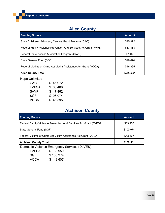# **Allen County**

| <b>Funding Source</b>                                             | <b>Amount</b> |
|-------------------------------------------------------------------|---------------|
| State Children's Advocacy Centers Grant Program (CAC)             | \$45,972      |
| Federal Family Violence Prevention And Services Act Grant (FVPSA) | \$33,488      |
| Federal State Access & Visitation Program (SAVP)                  | \$7,462       |
| State General Fund (SGF)                                          | \$96,074      |
| Federal Victims of Crime Act Victim Assistance Act Grant (VOCA)   | \$46,395      |
| <b>Allen County Total</b>                                         | \$229,391     |

Hope Unlimited

| CAC   | \$45,972 |
|-------|----------|
| FVPSA | \$33,488 |
| SAVP  | \$7,462  |
| SGF   | \$96,074 |
| VOCA  | \$46,395 |

# **Atchison County**

| <b>Funding Source</b>                                             | <b>Amount</b> |
|-------------------------------------------------------------------|---------------|
| Federal Family Violence Prevention And Services Act Grant (FVPSA) | \$33,950      |
| State General Fund (SGF)                                          | \$100,974     |
| Federal Victims of Crime Act Victim Assistance Act Grant (VOCA)   | \$43,607      |
| <b>Atchison County Total</b>                                      | \$178,531     |

Domestic Violence Emergency Services (DoVES)

| <b>FVPSA</b> | \$33,950  |
|--------------|-----------|
| SGF          | \$100,974 |
| VOCA         | \$ 43,607 |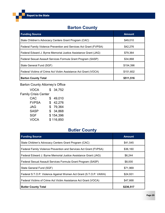# **Barton County**

| <b>Funding Source</b>                                             | <b>Amount</b> |
|-------------------------------------------------------------------|---------------|
| State Children's Advocacy Centers Grant Program (CAC)             | \$49,010      |
| Federal Family Violence Prevention and Services Act Grant (FVPSA) | \$42,276      |
| Federal Edward J. Byrne Memorial Justice Assistance Grant (JAG)   | \$79,364      |
| Federal Sexual Assault Services Formula Grant Program (SASP)      | \$34,868      |
| State General Fund (SGF)                                          | \$154,396     |
| Federal Victims of Crime Act Victim Assistance Act Grant (VOCA)   | \$151,602     |
| <b>Barton County Total</b>                                        | \$511,516     |

# Barton County Attorney's Office

| <b>VOCA</b>                 | S  | 34,752    |
|-----------------------------|----|-----------|
| <b>Family Crisis Center</b> |    |           |
| <b>CAC</b>                  | \$ | 49,010    |
| <b>FVPSA</b>                |    | \$42,276  |
| <b>JAG</b>                  |    | \$79,364  |
| <b>SASP</b>                 |    | \$34,868  |
| <b>SGF</b>                  |    | \$154,396 |
| <b>VOCA</b>                 |    | \$116,850 |
|                             |    |           |

# **Butler County**

| <b>Funding Source</b>                                             | <b>Amount</b> |
|-------------------------------------------------------------------|---------------|
| State Children's Advocacy Centers Grant Program (CAC)             | \$41,545      |
| Federal Family Violence Prevention and Services Act Grant (FVPSA) | \$36,160      |
| Federal Edward J. Byrne Memorial Justice Assistance Grant (JAG)   | \$6,244       |
| Federal Sexual Assault Services Formula Grant Program (SASP)      | \$8,000       |
| State General Fund (SGF)                                          | \$71,969      |
| Federal S.T.O.P. Violence Against Women Act Grant (S.T.O.P. VAWA) | \$24,931      |
| Federal Victims of Crime Act Victim Assistance Act Grant (VOCA)   | \$47,668      |
| <b>Butler County Total</b>                                        | \$236,517     |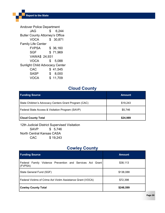Andover Police Department JAG \$ 6,244 Butler County Attorney's Office VOCA \$ 30,871 Family Life Center FVPSA \$ 36,160 SGF \$71,969 VAWA\$ 24,931 VOCA \$ 5,088 Sunlight Child Advocacy Center CAC \$ 41,545 SASP \$ 8,000 VOCA \$ 11,709

# **Cloud County**

| <b>Funding Source</b>                                 | <b>Amount</b> |
|-------------------------------------------------------|---------------|
| State Children's Advocacy Centers Grant Program (CAC) | \$19.243      |
| Federal State Access & Visitation Program (SAVP)      | \$5,746       |
| <b>Cloud County Total</b>                             | \$24,989      |

12th Judicial District Supervised Visitation SAVP \$ 5,746 North Central Kansas CASA

CAC \$ 19,243

## **Cowley County**

| <b>Funding Source</b>                                                | <b>Amount</b> |
|----------------------------------------------------------------------|---------------|
| Federal Family Violence Prevention and Services Act Grant<br>(FVPSA) | \$38,113      |
| State General Fund (SGF)                                             | \$138,088     |
| Federal Victims of Crime Act Victim Assistance Grant (VOCA)          | \$72,398      |
| <b>Cowley County Total</b>                                           | \$248,599     |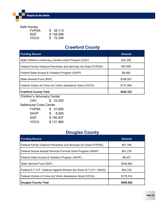#### Safe Homes

| <b>FVPSA</b> | \$38,113  |
|--------------|-----------|
| SGF          | \$138,088 |
| VOCA         | \$ 72,398 |

# **Crawford County**

| <b>Funding Source</b>                                             | <b>Amount</b> |
|-------------------------------------------------------------------|---------------|
| State Children's Advocacy Centers Grant Program (CAC)             | \$33,250      |
| Federal Family Violence Prevention and Services Act Grant (FVPSA) | \$57,690      |
| Federal State Access & Visitation Program (SAVP)                  | \$8,565       |
| State General Fund (SGF)                                          | \$190,937     |
| Federal Victims of Crime Act Victim Assistance Grant (VOCA)       | \$131,880     |
| <b>Crawford County Total</b>                                      | \$422,322     |

Children's Advocacy Center

CAC \$ 33,250 Safehouse Crisis Center FVPSA \$ 57,690 SAVP \$ 8,565 SGF \$190,937 VOCA \$ 131,880

# **Douglas County**

| <b>Funding Source</b>                                             | <b>Amount</b> |
|-------------------------------------------------------------------|---------------|
| Federal Family Violence Prevention and Services Act Grant (FVPSA) | \$51,764      |
| Federal Sexual Assault Services Formula Grant Program (SASP)      | \$41,276      |
| Federal State Access & Visitation Program (SAVP)                  | \$9,427       |
| State General Fund (SGF)                                          | \$246,862     |
| Federal S.T.O.P. Violence Against Women Act Grant (S.T.O.P. VAWA) | \$43,725      |
| Federal Victims of Crime Act Victim Assistance Grant (VOCA)       | \$176,514     |
| <b>Douglas County Total</b>                                       | \$569,568     |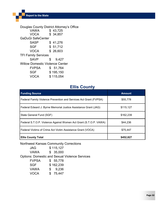Douglas County District Attorney's Office VAWA \$ 43,725 VOCA \$ 34,857 GaDuGi SafeCenter SASP \$41,276 SGF \$ 51,712 VOCA \$ 26,603 TFI Family Services SAVP \$ 9,427 Willow Domestic Violence Center FVPSA \$ 51,764 SGF \$195,150 VOCA \$ 115,054

## **Ellis County**

| <b>Funding Source</b>                                             | <b>Amount</b> |
|-------------------------------------------------------------------|---------------|
| Federal Family Violence Prevention and Services Act Grant (FVPSA) | \$55,778      |
| Federal Edward J. Byrne Memorial Justice Assistance Grant (JAG)   | \$115,127     |
| State General Fund (SGF)                                          | \$162,239     |
| Federal S.T.O.P. Violence Against Women Act Grant (S.T.O.P. VAWA) | \$44,236      |
| Federal Victims of Crime Act Victim Assistance Grant (VOCA)       | \$75,447      |
| <b>Ellis County Total</b>                                         | \$452,827     |

Northwest Kansas Community Corrections

JAG \$ 115,127 VAWA \$ 35,000 Options: Domestic and Sexual Violence Services FVPSA \$ 55,778 SGF \$162,239 VAWA \$ 9,236 VOCA \$ 75,447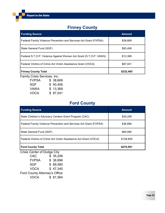# **Finney County**

| <b>Funding Source</b>                                             | <b>Amount</b> |
|-------------------------------------------------------------------|---------------|
| Federal Family Violence Prevention and Services Act Grant (FVPSA) | \$38,669      |
| State General Fund (SGF)                                          | \$93,406      |
| Federal S.T.O.P. Violence Against Women Act Grant (S.T.O.P. VAWA) | \$13,369      |
| Federal Victims of Crime Act Victim Assistance Grant (VOCA)       | \$87,041      |
| <b>Finney County Total</b>                                        | \$232,485     |

Family Crisis Services, Inc.

| FVPSA | \$38,669  |
|-------|-----------|
| SGF   | \$93,406  |
| VAWA  | \$13,369  |
| VOCA  | \$ 87,041 |

# **Ford County**

| <b>Funding Source</b>                                             | <b>Amount</b> |
|-------------------------------------------------------------------|---------------|
| State Children's Advocacy Centers Grant Program (CAC)             | \$35,206      |
| Federal Family Violence Prevention and Services Act Grant (FVPSA) | \$36,896      |
| State General Fund (SGF)                                          | \$69,580      |
| Federal Victims of Crime Act Victim Assistance Act Grant (VOCA)   | \$128,909     |
| <b>Ford County Total</b>                                          | \$270,591     |

Crisis Center of Dodge City

CAC \$ 35,206 FVPSA \$ 36,896 SGF \$ 69,580 VOCA \$ 47,345 Ford County Attorney's Office VOCA \$ 81,564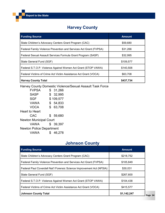# **Harvey County**

| <b>Funding Source</b>                                             | <b>Amount</b> |
|-------------------------------------------------------------------|---------------|
| State Children's Advocacy Centers Grant Program (CAC)             | \$59,680      |
| Federal Family Violence Prevention and Services Act Grant (FVPSA) | \$31,266      |
| Federal Sexual Assault Services Formula Grant Program (SASP)      | \$32,995      |
| State General Fund (SGF)                                          | \$109,577     |
| Federal S.T.O.P. Violence Against Women Act Grant (STOP VAWA)     | \$140,508     |
| Federal Victims of Crime Act Victim Assistance Act Grant (VOCA)   | \$63,708      |
| <b>Harvey County Total</b>                                        | \$437,734     |

Harvey County Domestic Violence/Sexual Assault Task Force

| <b>FVPSA</b>                    |    | \$31,266  |
|---------------------------------|----|-----------|
| <b>SASP</b>                     |    | \$32,995  |
| <b>SGF</b>                      |    | \$109,577 |
| VAWA                            | \$ | 54,833    |
| <b>VOCA</b>                     | \$ | 63,708    |
| <b>Heart to Heart</b>           |    |           |
| CAC                             |    | \$ 59,680 |
| <b>Newton Municipal Court</b>   |    |           |
| VAWA                            |    | \$39,397  |
| <b>Newton Police Department</b> |    |           |
| VAWA                            |    | 46,278    |
|                                 |    |           |

# **Johnson County**

| <b>Funding Source</b>                                                 | <b>Amount</b> |
|-----------------------------------------------------------------------|---------------|
| State Children's Advocacy Centers Grant Program (CAC)                 | \$218,752     |
| Federal Family Violence Prevention and Services Act Grant (FVPSA)     | \$105,849     |
| Federal Paul Coverdell Nat'l Forensic Science Improvement Act (NFSIA) | \$30,031      |
| State General Fund (SGF)                                              | \$267,600     |
| Federal S.T.O.P. Violence Against Women Act Grant (STOP VAWA)         | \$104,438     |
| Federal Victims of Crime Act Victim Assistance Act Grant (VOCA)       | \$415,577     |
| <b>Johnson County Total</b>                                           | \$1,142,247   |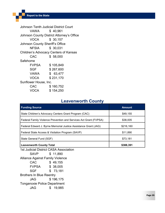Johnson Tenth Judicial District Court VAWA \$ 40,961 Johnson County District Attorney's Office VOCA \$ 30,157 Johnson County Sheriff's Office NFSIA \$ 30,031 Children's Advocacy Centers of Kansas CAC \$ 58,000 Safehome FVPSA \$ 105,849 SGF \$267,600 VAWA \$ 63,477 VOCA \$ 231,170 Sunflower House, Inc. CAC \$ 160,752 VOCA \$ 154,250

#### **Leavenworth County**

| <b>Funding Source</b>                                             | <b>Amount</b> |
|-------------------------------------------------------------------|---------------|
| State Children's Advocacy Centers Grant Program (CAC)             | \$49,155      |
| Federal Family Violence Prevention and Services Act Grant (FVPSA) | \$38,005      |
| Federal Edward J. Byrne Memorial Justice Assistance Grant (JAG)   | \$216,160     |
| Federal State Access & Visitation Program (SAVP)                  | \$11,890      |
| State General Fund (SGF)                                          | \$73,181      |
| <b>Leavenworth County Total</b>                                   | \$388,391     |

1st Judicial District CASA Association SAVP \$ 11,890 Alliance Against Family Violence CAC \$ 49,155 FVPSA \$ 38,005 SGF \$ 73,181 Brothers In Blue Reentry JAG \$ 196,175 Tonganoxie Police Department JAG \$ 19,985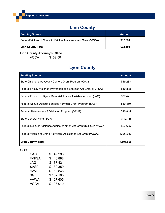# **Linn County**

| <b>Funding Source</b>                                           | <b>Amount</b> |
|-----------------------------------------------------------------|---------------|
| Federal Victims of Crime Act Victim Assistance Act Grant (VOCA) | \$32,501      |
| <b>Linn County Total</b>                                        | \$32,501      |

Linn County Attorney's Office

VOCA \$ 32,501

# **Lyon County**

| <b>Funding Source</b>                                             | <b>Amount</b> |
|-------------------------------------------------------------------|---------------|
| State Children's Advocacy Centers Grant Program (CAC)             | \$49,283      |
| Federal Family Violence Prevention and Services Act Grant (FVPSA) | \$40,898      |
| Federal Edward J. Byrne Memorial Justice Assistance Grant (JAG)   | \$37,421      |
| Federal Sexual Assault Services Formula Grant Program (SASP)      | \$30,359      |
| Federal State Access & Visitation Program (SAVP)                  | \$10,845      |
| State General Fund (SGF)                                          | \$182,185     |
| Federal S.T.O.P. Violence Against Women Act Grant (S.T.O.P. VAWA) | \$27,605      |
| Federal Victims of Crime Act Victim Assistance Act Grant (VOCA)   | \$123,010     |
| <b>Lyon County Total</b>                                          | \$501,606     |

#### SOS

| CAC          | \$49,283     |
|--------------|--------------|
| <b>FVPSA</b> | 40,898<br>\$ |
| JAG          | \$37,421     |
| SASP         | \$30,359     |
| SAVP         | \$10,845     |
| SGF          | \$182,185    |
| VAWA         | \$27,605     |
| VOCA         | \$123,010    |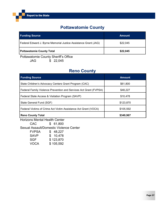# **Pottawatomie County**

| <b>Funding Source</b>                                           | <b>Amount</b> |
|-----------------------------------------------------------------|---------------|
| Federal Edward J. Byrne Memorial Justice Assistance Grant (JAG) | \$22,045      |
| <b>Pottawatomie County Total</b>                                | \$22,045      |

Pottawatomie County Sheriff's Office

JAG \$ 22,045

# **Reno County**

| <b>Funding Source</b>                                             | <b>Amount</b> |
|-------------------------------------------------------------------|---------------|
| State Children's Advocacy Centers Grant Program (CAC)             | \$61,800      |
| Federal Family Violence Prevention and Services Act Grant (FVPSA) | \$48,227      |
| Federal State Access & Visitation Program (SAVP)                  | \$10,478      |
| State General Fund (SGF)                                          | \$123,870     |
| Federal Victims of Crime Act Victim Assistance Act Grant (VOCA)   | \$105,592     |
| <b>Reno County Total</b>                                          | \$349,967     |

Horizons Mental Health Center CAC \$ 61,800 Sexual Assault/Domestic Violence Center FVPSA \$ 48,227 SAVP \$ 10,478<br>SGF \$ 123,870 \$ 123,870 VOCA \$ 105,592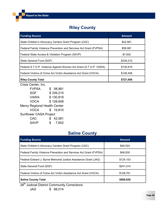# **Riley County**

| <b>Funding Source</b>                                             | <b>Amount</b> |
|-------------------------------------------------------------------|---------------|
| State Children's Advocacy Centers Grant Program (CAC)             | \$42,581      |
| Federal Family Violence Prevention and Services Act Grant (FVPSA) | \$58,981      |
| Federal State Access & Visitation Program (SAVP)                  | \$7,602       |
| State General Fund (SGF)                                          | \$339,215     |
| Federal S.T.O.P. Violence Against Women Act Grant (S.T.O.P. VAWA) | \$130,819     |
| Federal Victims of Crime Act Victim Assistance Act Grant (VOCA)   | \$148,458     |
| <b>Riley County Total</b>                                         | \$727,656     |

Crisis Center, Inc.

| <b>FVPSA</b>                        | \$58,981     |
|-------------------------------------|--------------|
| <b>SGF</b>                          | \$339,215    |
| <b>VAWA</b>                         | \$130,819    |
| <b>VOCA</b>                         | \$128,648    |
| <b>Mercy Regional Health Center</b> |              |
| <b>VOCA</b>                         | \$19,810     |
| <b>Sunflower CASA Project</b>       |              |
| <b>CAC</b>                          | \$<br>42,581 |
| <b>SAVP</b>                         | \$<br>7,602  |

# **Saline County**

| <b>Funding Source</b>                                             | <b>Amount</b> |
|-------------------------------------------------------------------|---------------|
| State Children's Advocacy Centers Grant Program (CAC)             | \$46,522      |
| Federal Family Violence Prevention and Services Act Grant (FVPSA) | \$48,930      |
| Federal Edward J. Byrne Memorial Justice Assistance Grant (JAG)   | \$124,103     |
| State General Fund (SGF)                                          | \$241,514     |
| Federal Victims of Crime Act Victim Assistance Act Grant (VOCA)   | \$108,761     |
| <b>Saline County Total</b><br>$+h$                                | \$569,830     |

28<sup>th</sup> Judicial District Community Corrections JAG \$ 68,014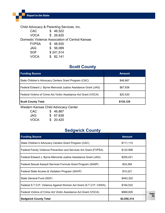Child Advocacy & Parenting Services, Inc.

CAC \$ 46,522 VOCA \$ 26,620 Domestic Violence Association of Central Kansas FVPSA \$ 48,930 JAG \$ 56,089 SGF \$241,514

VOCA \$ 82,141

# **Scott County**

| <b>Funding Source</b>                                           | <b>Amount</b> |
|-----------------------------------------------------------------|---------------|
| State Children's Advocacy Centers Grant Program (CAC)           | \$46,867      |
| Federal Edward J. Byrne Memorial Justice Assistance Grant (JAG) | \$67,838      |
| Federal Victims of Crime Act Victim Assistance Act Grant (VOCA) | \$20,420      |
| <b>Scott County Total</b>                                       | \$135,125     |

Western Kansas Child Advocacy Center

| CAC         | \$46,867  |
|-------------|-----------|
| JAG         | \$ 67,838 |
| <b>VOCA</b> | \$ 20,420 |

# **Sedgwick County**

| <b>Funding Source</b>                                             | <b>Amount</b> |
|-------------------------------------------------------------------|---------------|
| State Children's Advocacy Centers Grant Program (CAC)             | \$111,110     |
| Federal Family Violence Prevention and Services Act Grant (FVPSA) | \$122,998     |
| Federal Edward J. Byrne Memorial Justice Assistance Grant (JAG)   | \$255,021     |
| Federal Sexual Assault Services Formula Grant Program (SASP)      | \$34,284      |
| Federal State Access & Visitation Program (SAVP)                  | \$10,221      |
| State General Fund (SGF)                                          | \$483,322     |
| Federal S.T.O.P. Violence Against Women Act Grant (S.T.O.P. VAWA) | \$164,532     |
| Federal Victims of Crime Act Victim Assistance Act Grant (VOCA)   | \$868,826     |
| <b>Sedgwick County Total</b>                                      | \$2,050,314   |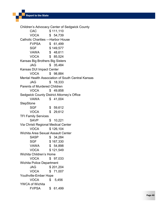Children's Advocacy Center of Sedgwick County CAC \$ 111,110 VOCA \$ 54,739 Catholic Charities —Harbor House FVPSA \$ 61,499 SGF \$149,577 VAWA \$ 48,611 VOCA \$ 85,524 Kansas Big Brothers Big Sisters JAG \$ 35,484 Kansas DUI Impact Center VOCA \$ 98,884 Mental Health Association of South Central Kansas JAG \$ 18,333 Parents of Murdered Children VOCA \$ 49,858 Sedgwick County District Attorney's Office VAWA \$ 41,004 **StepStone** SGF \$ 59,612 VOCA \$ 29,612 TFI Family Services SAVP \$ 10,221 Via Christi Regional Medical Center VOCA \$ 126,104 Wichita Area Sexual Assault Center SASP \$ 34,284 SGF \$167,330 VAWA \$ 54,898 VOCA \$ 121,549 Wichita Children's Home VOCA \$ 97,033 Wichita Police Department JAG \$ 201,204 VOCA \$ 71,007 Youthville -Ember Hope VOCA \$ 5,456 YWCA of Wichita FVPSA \$ 61,499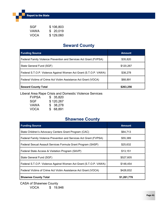Report to the State

| SGF  | \$106,803 |
|------|-----------|
| VAWA | \$20,019  |
| VOCA | \$129,060 |

# **Seward County**

| <b>Funding Source</b>                                             | <b>Amount</b> |
|-------------------------------------------------------------------|---------------|
| Federal Family Violence Prevention and Services Act Grant (FVPSA) | \$35,820      |
| State General Fund (SGF)                                          | \$120,267     |
| Federal S.T.O.P. Violence Against Women Act Grant (S.T.O.P. VAWA) | \$38,278      |
| Federal Victims of Crime Act Victim Assistance Act Grant (VOCA)   | \$68,891      |
| <b>Seward County Total</b>                                        | \$263,256     |

Liberal Area Rape Crisis and Domestic Violence Services

| <b>FVPSA</b> | \$ 35,820 |
|--------------|-----------|
| <b>SGF</b>   | \$120,267 |
| <b>VAWA</b>  | \$ 38,278 |
| <b>VOCA</b>  | \$ 68,891 |

# **Shawnee County**

| <b>Funding Source</b>                                             | <b>Amount</b> |
|-------------------------------------------------------------------|---------------|
| State Children's Advocacy Centers Grant Program (CAC)             | \$64,713      |
| Federal Family Violence Prevention and Services Act Grant (FVPSA) | \$55,389      |
| Federal Sexual Assault Services Formula Grant Program (SASP)      | \$25,632      |
| Federal State Access & Visitation Program (SAVP)                  | \$13,151      |
| State General Fund (SGF)                                          | \$527,605     |
| Federal S.T.O.P. Violence Against Women Act Grant (S.T.O.P. VAWA) | \$148,454     |
| Federal Victims of Crime Act Victim Assistance Act Grant (VOCA)   | \$426,832     |
| <b>Shawnee County Total</b>                                       | \$1,261,776   |

CASA of Shawnee County VOCA \$ 19,946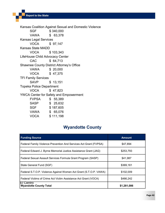Kansas Coalition Against Sexual and Domestic Violence SGF \$340,000 VAWA \$ 63,378 Kansas Legal Services VOCA \$ 97,147 Kansas State MADD VOCA \$ 103,343 LifeHouse Child Advocacy Center CAC \$ 64,713 Shawnee County District Attorney's Office VAWA \$ 20,000 VOCA \$ 47,375 TFI Family Services SAVP \$ 13,151 Topeka Police Department VOCA \$ 47,823 YWCA Center for Safety and Empowerment FVPSA \$ 55,389 SASP \$ 25,632 SGF \$187,605 VAWA \$ 65,076 VOCA \$ 111,198

# **Wyandotte County**

| <b>Funding Source</b>                                             | <b>Amount</b> |
|-------------------------------------------------------------------|---------------|
| Federal Family Violence Prevention And Services Act Grant (FVPSA) | \$47,894      |
| Federal Edward J. Byrne Memorial Justice Assistance Grant (JAG)   | \$253,793     |
| Federal Sexual Assault Services Formula Grant Program (SASP)      | \$41,987      |
| State General Fund (SGF)                                          | \$369,161     |
| Federal S.T.O.P. Violence Against Women Act Grant (S.T.O.P. VAWA) | \$102,009     |
| Federal Victims of Crime Act Victim Assistance Act Grant (VOCA)   | \$466,242     |
| IEI Centro<br><b>Wyandotte County Total</b>                       | \$1,281,086   |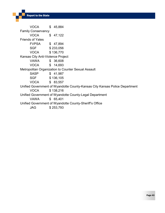VOCA \$ 45,884 Family Conservancy VOCA \$ 47,122 Friends of Yates FVPSA \$ 47,894 SGF \$233,056 VOCA \$ 136,770 Kansas City Anti-Violence Project VAWA \$ 36,608 VOCA \$ 14,693 Metropolitan Organization to Counter Sexual Assault SASP \$ 41,987 SGF \$136,105 VOCA \$ 83,557 Unified Government of Wyandotte County-Kansas City Kansas Police Department VOCA \$ 138,216 Unified Government of Wyandotte County-Legal Department VAWA \$ 65,401 Unified Government of Wyandotte County-Sheriff's Office JAG \$ 253,793